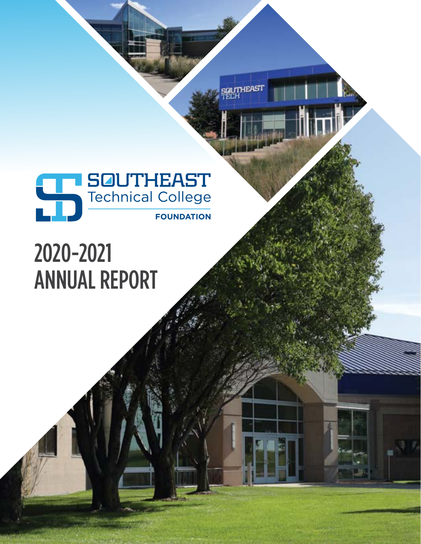

(FAST

## 2020-2021 ANNUAL REPORT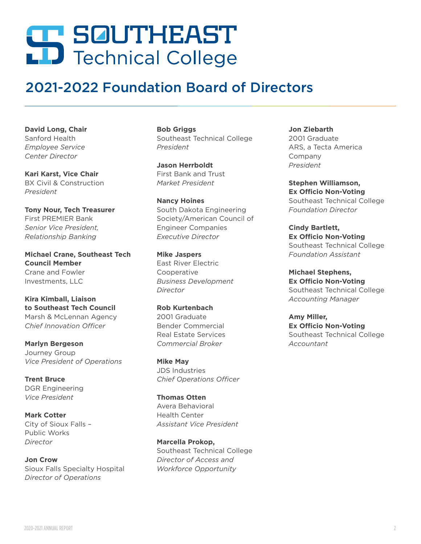# **SQUTHEAST**<br>LD Technical College

### 2021-2022 Foundation Board of Directors

**David Long, Chair** Sanford Health *Employee Service Center Director*

**Kari Karst, Vice Chair** BX Civil & Construction *President*

**Tony Nour, Tech Treasurer** First PREMIER Bank *Senior Vice President, Relationship Banking*

**Michael Crane, Southeast Tech Council Member** Crane and Fowler Investments, LLC

**Kira Kimball, Liaison to Southeast Tech Council** Marsh & McLennan Agency *Chief Innovation Officer* 

**Marlyn Bergeson** Journey Group *Vice President of Operations*

**Trent Bruce** DGR Engineering *Vice President*

**Mark Cotter** City of Sioux Falls – Public Works *Director*

**Jon Crow** Sioux Falls Specialty Hospital *Director of Operations*

**Bob Griggs**  Southeast Technical College *President*

**Jason Herrboldt** First Bank and Trust *Market President*

**Nancy Hoines** South Dakota Engineering Society/American Council of Engineer Companies *Executive Director*

**Mike Jaspers** East River Electric Cooperative *Business Development Director*

**Rob Kurtenbach**  2001 Graduate Bender Commercial Real Estate Services *Commercial Broker*

**Mike May** JDS Industries *Chief Operations Officer*

**Thomas Otten** Avera Behavioral Health Center *Assistant Vice President* 

**Marcella Prokop,**  Southeast Technical College *Director of Access and Workforce Opportunity*

**Jon Ziebarth** 2001 Graduate ARS, a Tecta America Company *President*

**Stephen Williamson, Ex Officio Non-Voting** Southeast Technical College *Foundation Director*

**Cindy Bartlett, Ex Officio Non-Voting** Southeast Technical College *Foundation Assistant*

**Michael Stephens, Ex Officio Non-Voting** Southeast Technical College *Accounting Manager*

**Amy Miller, Ex Officio Non-Voting** Southeast Technical College *Accountant*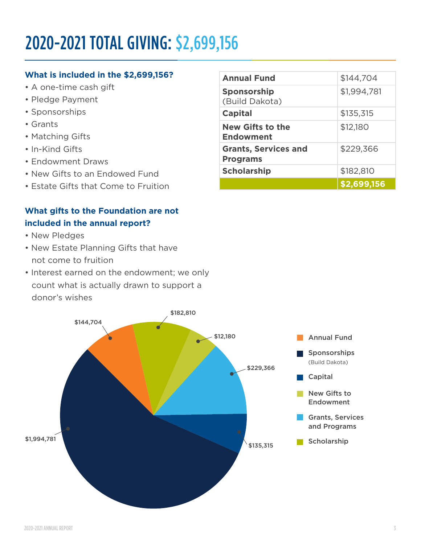## 2020-2021 TOTAL GIVING: \$2,699,156

#### **What is included in the \$2,699,156?**

- A one-time cash gift
- Pledge Payment
- Sponsorships
- Grants
- Matching Gifts
- In-Kind Gifts
- Endowment Draws
- New Gifts to an Endowed Fund
- Estate Gifts that Come to Fruition

#### **What gifts to the Foundation are not included in the annual report?**

- New Pledges
- New Estate Planning Gifts that have not come to fruition
- Interest earned on the endowment; we only count what is actually drawn to support a donor's wishes



| <b>Annual Fund</b>                             | \$144,704   |
|------------------------------------------------|-------------|
| <b>Sponsorship</b><br>(Build Dakota)           | \$1,994,781 |
| <b>Capital</b>                                 | \$135,315   |
| <b>New Gifts to the</b><br><b>Endowment</b>    | \$12,180    |
| <b>Grants, Services and</b><br><b>Programs</b> | \$229,366   |
| <b>Scholarship</b>                             | \$182,810   |
|                                                | \$2,699,156 |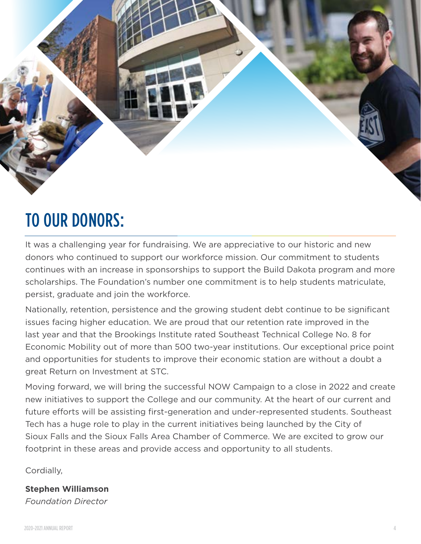

## TO OUR DONORS:

It was a challenging year for fundraising. We are appreciative to our historic and new donors who continued to support our workforce mission. Our commitment to students continues with an increase in sponsorships to support the Build Dakota program and more scholarships. The Foundation's number one commitment is to help students matriculate, persist, graduate and join the workforce.

Nationally, retention, persistence and the growing student debt continue to be significant issues facing higher education. We are proud that our retention rate improved in the last year and that the Brookings Institute rated Southeast Technical College No. 8 for Economic Mobility out of more than 500 two-year institutions. Our exceptional price point and opportunities for students to improve their economic station are without a doubt a great Return on Investment at STC.

Moving forward, we will bring the successful NOW Campaign to a close in 2022 and create new initiatives to support the College and our community. At the heart of our current and future efforts will be assisting first-generation and under-represented students. Southeast Tech has a huge role to play in the current initiatives being launched by the City of Sioux Falls and the Sioux Falls Area Chamber of Commerce. We are excited to grow our footprint in these areas and provide access and opportunity to all students.

Cordially,

**Stephen Williamson** *Foundation Director*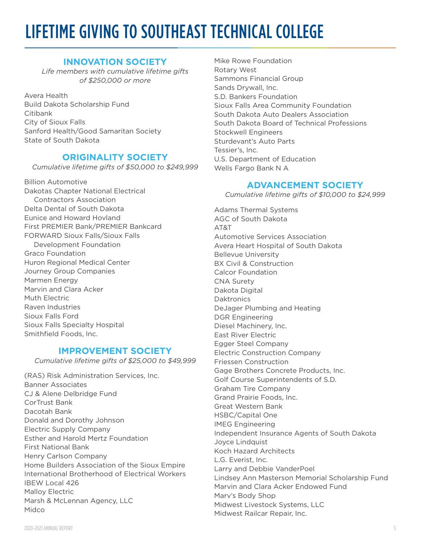## LIFETIME GIVING TO SOUTHEAST TECHNICAL COLLEGE

#### **INNOVATION SOCIETY**

*Life members with cumulative lifetime gifts of \$250,000 or more*

Avera Health Build Dakota Scholarship Fund Citibank City of Sioux Falls Sanford Health/Good Samaritan Society State of South Dakota

#### **ORIGINALITY SOCIETY**

*Cumulative lifetime gifts of \$50,000 to \$249,999*

Billion Automotive Dakotas Chapter National Electrical Contractors Association Delta Dental of South Dakota Eunice and Howard Hovland First PREMIER Bank/PREMIER Bankcard FORWARD Sioux Falls/Sioux Falls Development Foundation Graco Foundation Huron Regional Medical Center Journey Group Companies Marmen Energy Marvin and Clara Acker Muth Electric Raven Industries Sioux Falls Ford Sioux Falls Specialty Hospital Smithfield Foods, Inc.

#### **IMPROVEMENT SOCIETY**

*Cumulative lifetime gifts of \$25,000 to \$49,999*

(RAS) Risk Administration Services, Inc. Banner Associates CJ & Alene Delbridge Fund CorTrust Bank Dacotah Bank Donald and Dorothy Johnson Electric Supply Company Esther and Harold Mertz Foundation First National Bank Henry Carlson Company Home Builders Association of the Sioux Empire International Brotherhood of Electrical Workers IBEW Local 426 Malloy Electric Marsh & McLennan Agency, LLC Midco

Mike Rowe Foundation Rotary West Sammons Financial Group Sands Drywall, Inc. S.D. Bankers Foundation Sioux Falls Area Community Foundation South Dakota Auto Dealers Association South Dakota Board of Technical Professions Stockwell Engineers Sturdevant's Auto Parts Tessier's, Inc. U.S. Department of Education Wells Fargo Bank N A

#### **ADVANCEMENT SOCIETY**

*Cumulative lifetime gifts of \$10,000 to \$24,999*

Adams Thermal Systems AGC of South Dakota AT&T Automotive Services Association Avera Heart Hospital of South Dakota Bellevue University BX Civil & Construction Calcor Foundation CNA Surety Dakota Digital **Daktronics** DeJager Plumbing and Heating DGR Engineering Diesel Machinery, Inc. East River Electric Egger Steel Company Electric Construction Company Friessen Construction Gage Brothers Concrete Products, Inc. Golf Course Superintendents of S.D. Graham Tire Company Grand Prairie Foods, Inc. Great Western Bank HSBC/Capital One IMEG Engineering Independent Insurance Agents of South Dakota Joyce Lindquist Koch Hazard Architects L.G. Everist, Inc. Larry and Debbie VanderPoel Lindsey Ann Masterson Memorial Scholarship Fund Marvin and Clara Acker Endowed Fund Marv's Body Shop Midwest Livestock Systems, LLC Midwest Railcar Repair, Inc.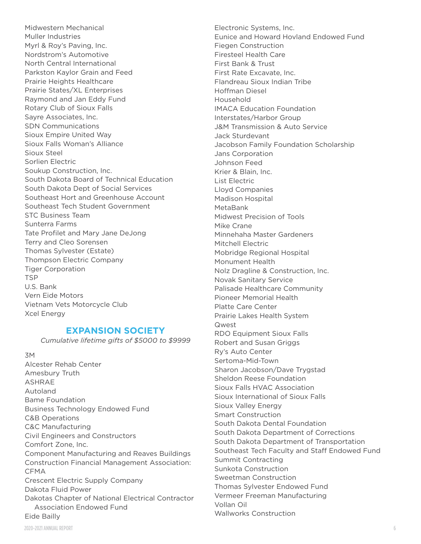Midwestern Mechanical Muller Industries Myrl & Roy's Paving, Inc. Nordstrom's Automotive North Central International Parkston Kaylor Grain and Feed Prairie Heights Healthcare Prairie States/XL Enterprises Raymond and Jan Eddy Fund Rotary Club of Sioux Falls Sayre Associates, Inc. SDN Communications Sioux Empire United Way Sioux Falls Woman's Alliance Sioux Steel Sorlien Electric Soukup Construction, Inc. South Dakota Board of Technical Education South Dakota Dept of Social Services Southeast Hort and Greenhouse Account Southeast Tech Student Government STC Business Team Sunterra Farms Tate Profilet and Mary Jane DeJong Terry and Cleo Sorensen Thomas Sylvester (Estate) Thompson Electric Company Tiger Corporation **TSP** U.S. Bank Vern Eide Motors Vietnam Vets Motorcycle Club Xcel Energy

#### **EXPANSION SOCIETY**

*Cumulative lifetime gifts of \$5000 to \$9999*

3M

Alcester Rehab Center Amesbury Truth ASHRAE Autoland Bame Foundation Business Technology Endowed Fund C&B Operations C&C Manufacturing Civil Engineers and Constructors Comfort Zone, Inc. Component Manufacturing and Reaves Buildings Construction Financial Management Association: CFMA Crescent Electric Supply Company Dakota Fluid Power Dakotas Chapter of National Electrical Contractor Association Endowed Fund Eide Bailly

Electronic Systems, Inc. Eunice and Howard Hovland Endowed Fund Fiegen Construction Firesteel Health Care First Bank & Trust First Rate Excavate, Inc. Flandreau Sioux Indian Tribe Hoffman Diesel Household IMACA Education Foundation Interstates/Harbor Group J&M Transmission & Auto Service Jack Sturdevant Jacobson Family Foundation Scholarship Jans Corporation Johnson Feed Krier & Blain, Inc. List Electric Lloyd Companies Madison Hospital MetaBank Midwest Precision of Tools Mike Crane Minnehaha Master Gardeners Mitchell Electric Mobridge Regional Hospital Monument Health Nolz Dragline & Construction, Inc. Novak Sanitary Service Palisade Healthcare Community Pioneer Memorial Health Platte Care Center Prairie Lakes Health System Qwest RDO Equipment Sioux Falls Robert and Susan Griggs Ry's Auto Center Sertoma-Mid-Town Sharon Jacobson/Dave Trygstad Sheldon Reese Foundation Sioux Falls HVAC Association Sioux International of Sioux Falls Sioux Valley Energy Smart Construction South Dakota Dental Foundation South Dakota Department of Corrections South Dakota Department of Transportation Southeast Tech Faculty and Staff Endowed Fund Summit Contracting Sunkota Construction Sweetman Construction Thomas Sylvester Endowed Fund Vermeer Freeman Manufacturing Vollan Oil Wallworks Construction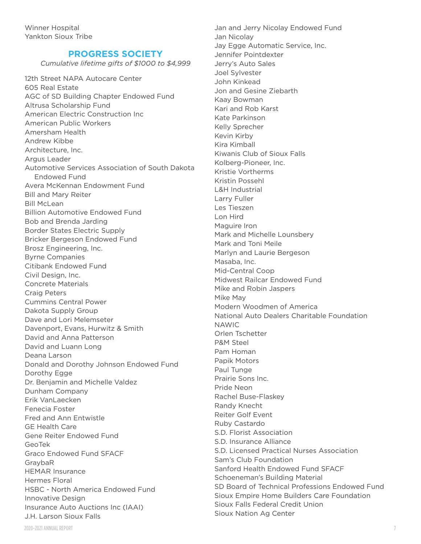#### **PROGRESS SOCIETY**

*Cumulative lifetime gifts of \$1000 to \$4,999*

12th Street NAPA Autocare Center 605 Real Estate AGC of SD Building Chapter Endowed Fund Altrusa Scholarship Fund American Electric Construction Inc American Public Workers Amersham Health Andrew Kibbe Architecture, Inc. Argus Leader Automotive Services Association of South Dakota Endowed Fund Avera McKennan Endowment Fund Bill and Mary Reiter Bill McLean Billion Automotive Endowed Fund Bob and Brenda Jarding Border States Electric Supply Bricker Bergeson Endowed Fund Brosz Engineering, Inc. Byrne Companies Citibank Endowed Fund Civil Design, Inc. Concrete Materials Craig Peters Cummins Central Power Dakota Supply Group Dave and Lori Melemseter Davenport, Evans, Hurwitz & Smith David and Anna Patterson David and Luann Long Deana Larson Donald and Dorothy Johnson Endowed Fund Dorothy Egge Dr. Benjamin and Michelle Valdez Dunham Company Erik VanLaecken Fenecia Foster Fred and Ann Entwistle GE Health Care Gene Reiter Endowed Fund GeoTek Graco Endowed Fund SFACF GraybaR HEMAR Insurance Hermes Floral HSBC - North America Endowed Fund Innovative Design Insurance Auto Auctions Inc (IAAI) J.H. Larson Sioux Falls

Jan and Jerry Nicolay Endowed Fund Jan Nicolay Jay Egge Automatic Service, Inc. Jennifer Pointdexter Jerry's Auto Sales Joel Sylvester John Kinkead Jon and Gesine Ziebarth Kaay Bowman Kari and Rob Karst Kate Parkinson Kelly Sprecher Kevin Kirby Kira Kimball Kiwanis Club of Sioux Falls Kolberg-Pioneer, Inc. Kristie Vortherms Kristin Possehl L&H Industrial Larry Fuller Les Tieszen Lon Hird Maguire Iron Mark and Michelle Lounsbery Mark and Toni Meile Marlyn and Laurie Bergeson Masaba, Inc. Mid-Central Coop Midwest Railcar Endowed Fund Mike and Robin Jaspers Mike May Modern Woodmen of America National Auto Dealers Charitable Foundation NAWIC Orlen Tschetter P&M Steel Pam Homan Papik Motors Paul Tunge Prairie Sons Inc. Pride Neon Rachel Buse-Flaskey Randy Knecht Reiter Golf Event Ruby Castardo S.D. Florist Association S.D. Insurance Alliance S.D. Licensed Practical Nurses Association Sam's Club Foundation Sanford Health Endowed Fund SFACF Schoeneman's Building Material SD Board of Technical Professions Endowed Fund Sioux Empire Home Builders Care Foundation Sioux Falls Federal Credit Union Sioux Nation Ag Center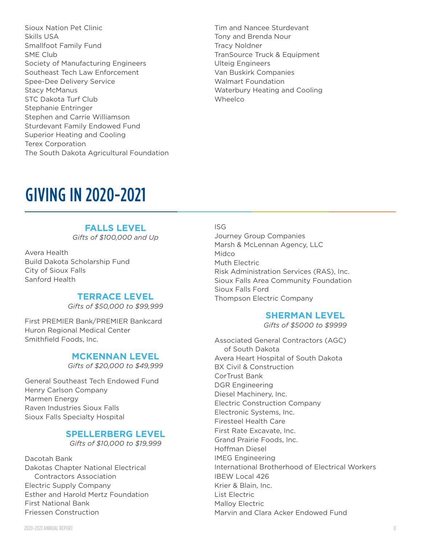- Sioux Nation Pet Clinic Skills USA Smallfoot Family Fund SME Club Society of Manufacturing Engineers Southeast Tech Law Enforcement Spee-Dee Delivery Service Stacy McManus STC Dakota Turf Club Stephanie Entringer Stephen and Carrie Williamson Sturdevant Family Endowed Fund Superior Heating and Cooling Terex Corporation The South Dakota Agricultural Foundation
- Tim and Nancee Sturdevant Tony and Brenda Nour Tracy Noldner TranSource Truck & Equipment Ulteig Engineers Van Buskirk Companies Walmart Foundation Waterbury Heating and Cooling Wheelco

## GIVING IN 2020-2021

#### **FALLS LEVEL**

*Gifts of \$100,000 and Up*

Avera Health Build Dakota Scholarship Fund City of Sioux Falls Sanford Health

#### **TERRACE LEVEL**

*Gifts of \$50,000 to \$99,999*

First PREMIER Bank/PREMIER Bankcard Huron Regional Medical Center Smithfield Foods, Inc.

#### **MCKENNAN LEVEL**

*Gifts of \$20,000 to \$49,999*

General Southeast Tech Endowed Fund Henry Carlson Company Marmen Energy Raven Industries Sioux Falls Sioux Falls Specialty Hospital

#### **SPELLERBERG LEVEL**

*Gifts of \$10,000 to \$19,999*

Dacotah Bank Dakotas Chapter National Electrical Contractors Association Electric Supply Company Esther and Harold Mertz Foundation First National Bank Friessen Construction

#### ISG

Journey Group Companies Marsh & McLennan Agency, LLC Midco Muth Electric Risk Administration Services (RAS), Inc. Sioux Falls Area Community Foundation Sioux Falls Ford Thompson Electric Company

#### **SHERMAN LEVEL**

*Gifts of \$5000 to \$9999*

Associated General Contractors (AGC) of South Dakota Avera Heart Hospital of South Dakota BX Civil & Construction CorTrust Bank DGR Engineering Diesel Machinery, Inc. Electric Construction Company Electronic Systems, Inc. Firesteel Health Care First Rate Excavate, Inc. Grand Prairie Foods, Inc. Hoffman Diesel IMEG Engineering International Brotherhood of Electrical Workers IBEW Local 426 Krier & Blain, Inc. List Electric Malloy Electric Marvin and Clara Acker Endowed Fund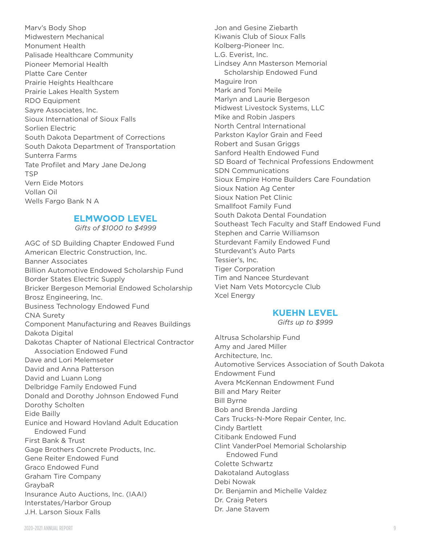Marv's Body Shop Midwestern Mechanical Monument Health Palisade Healthcare Community Pioneer Memorial Health Platte Care Center Prairie Heights Healthcare Prairie Lakes Health System RDO Equipment Sayre Associates, Inc. Sioux International of Sioux Falls Sorlien Electric South Dakota Department of Corrections South Dakota Department of Transportation Sunterra Farms Tate Profilet and Mary Jane DeJong **TSP** Vern Eide Motors Vollan Oil Wells Fargo Bank N A

#### **ELMWOOD LEVEL**

*Gifts of \$1000 to \$4999*

AGC of SD Building Chapter Endowed Fund American Electric Construction, Inc. Banner Associates Billion Automotive Endowed Scholarship Fund Border States Electric Supply Bricker Bergeson Memorial Endowed Scholarship Brosz Engineering, Inc. Business Technology Endowed Fund CNA Surety Component Manufacturing and Reaves Buildings Dakota Digital Dakotas Chapter of National Electrical Contractor Association Endowed Fund Dave and Lori Melemseter David and Anna Patterson David and Luann Long Delbridge Family Endowed Fund Donald and Dorothy Johnson Endowed Fund Dorothy Scholten Eide Bailly Eunice and Howard Hovland Adult Education Endowed Fund First Bank & Trust Gage Brothers Concrete Products, Inc. Gene Reiter Endowed Fund Graco Endowed Fund Graham Tire Company GraybaR Insurance Auto Auctions, Inc. (IAAI) Interstates/Harbor Group J.H. Larson Sioux Falls

Jon and Gesine Ziebarth Kiwanis Club of Sioux Falls Kolberg-Pioneer Inc. L.G. Everist, Inc. Lindsey Ann Masterson Memorial Scholarship Endowed Fund Maguire Iron Mark and Toni Meile Marlyn and Laurie Bergeson Midwest Livestock Systems, LLC Mike and Robin Jaspers North Central International Parkston Kaylor Grain and Feed Robert and Susan Griggs Sanford Health Endowed Fund SD Board of Technical Professions Endowment SDN Communications Sioux Empire Home Builders Care Foundation Sioux Nation Ag Center Sioux Nation Pet Clinic Smallfoot Family Fund South Dakota Dental Foundation Southeast Tech Faculty and Staff Endowed Fund Stephen and Carrie Williamson Sturdevant Family Endowed Fund Sturdevant's Auto Parts Tessier's, Inc. Tiger Corporation Tim and Nancee Sturdevant Viet Nam Vets Motorcycle Club Xcel Energy

#### **KUEHN LEVEL**

*Gifts up to \$999*

Altrusa Scholarship Fund Amy and Jared Miller Architecture, Inc. Automotive Services Association of South Dakota Endowment Fund Avera McKennan Endowment Fund Bill and Mary Reiter Bill Byrne Bob and Brenda Jarding Cars Trucks-N-More Repair Center, Inc. Cindy Bartlett Citibank Endowed Fund Clint VanderPoel Memorial Scholarship Endowed Fund Colette Schwartz Dakotaland Autoglass Debi Nowak Dr. Benjamin and Michelle Valdez Dr. Craig Peters Dr. Jane Stavem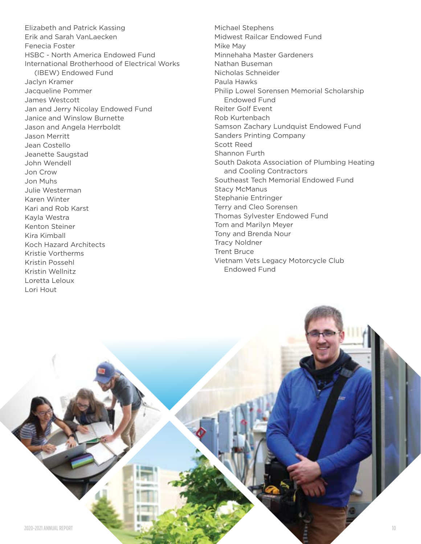Elizabeth and Patrick Kassing Erik and Sarah VanLaecken Fenecia Foster HSBC - North America Endowed Fund International Brotherhood of Electrical Works (IBEW) Endowed Fund Jaclyn Kramer Jacqueline Pommer James Westcott Jan and Jerry Nicolay Endowed Fund Janice and Winslow Burnette Jason and Angela Herrboldt Jason Merritt Jean Costello Jeanette Saugstad John Wendell Jon Crow Jon Muhs Julie Westerman Karen Winter Kari and Rob Karst Kayla Westra Kenton Steiner Kira Kimball Koch Hazard Architects Kristie Vortherms Kristin Possehl Kristin Wellnitz Loretta Leloux Lori Hout

Michael Stephens Midwest Railcar Endowed Fund Mike May Minnehaha Master Gardeners Nathan Buseman Nicholas Schneider Paula Hawks Philip Lowel Sorensen Memorial Scholarship Endowed Fund Reiter Golf Event Rob Kurtenbach Samson Zachary Lundquist Endowed Fund Sanders Printing Company Scott Reed Shannon Furth South Dakota Association of Plumbing Heating and Cooling Contractors Southeast Tech Memorial Endowed Fund Stacy McManus Stephanie Entringer Terry and Cleo Sorensen Thomas Sylvester Endowed Fund Tom and Marilyn Meyer Tony and Brenda Nour Tracy Noldner Trent Bruce Vietnam Vets Legacy Motorcycle Club Endowed Fund